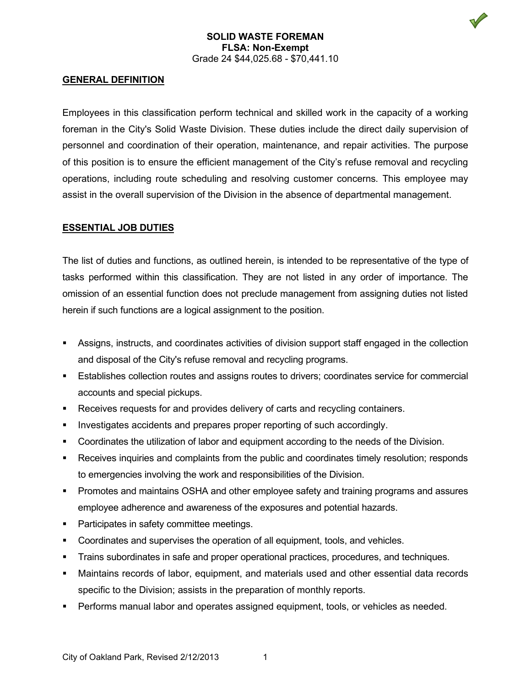## **SOLID WASTE FOREMAN FLSA: Non-Exempt** Grade 24 \$44,025.68 - \$70,441.10

#### **GENERAL DEFINITION**

Employees in this classification perform technical and skilled work in the capacity of a working foreman in the City's Solid Waste Division. These duties include the direct daily supervision of personnel and coordination of their operation, maintenance, and repair activities. The purpose of this position is to ensure the efficient management of the City's refuse removal and recycling operations, including route scheduling and resolving customer concerns. This employee may assist in the overall supervision of the Division in the absence of departmental management.

### **ESSENTIAL JOB DUTIES**

The list of duties and functions, as outlined herein, is intended to be representative of the type of tasks performed within this classification. They are not listed in any order of importance. The omission of an essential function does not preclude management from assigning duties not listed herein if such functions are a logical assignment to the position.

- Assigns, instructs, and coordinates activities of division support staff engaged in the collection and disposal of the City's refuse removal and recycling programs.
- Establishes collection routes and assigns routes to drivers; coordinates service for commercial accounts and special pickups.
- Receives requests for and provides delivery of carts and recycling containers.
- Investigates accidents and prepares proper reporting of such accordingly.
- Coordinates the utilization of labor and equipment according to the needs of the Division.
- Receives inquiries and complaints from the public and coordinates timely resolution; responds to emergencies involving the work and responsibilities of the Division.
- **Promotes and maintains OSHA and other employee safety and training programs and assures** employee adherence and awareness of the exposures and potential hazards.
- **Participates in safety committee meetings.**
- Coordinates and supervises the operation of all equipment, tools, and vehicles.
- Trains subordinates in safe and proper operational practices, procedures, and techniques.
- Maintains records of labor, equipment, and materials used and other essential data records specific to the Division; assists in the preparation of monthly reports.
- Performs manual labor and operates assigned equipment, tools, or vehicles as needed.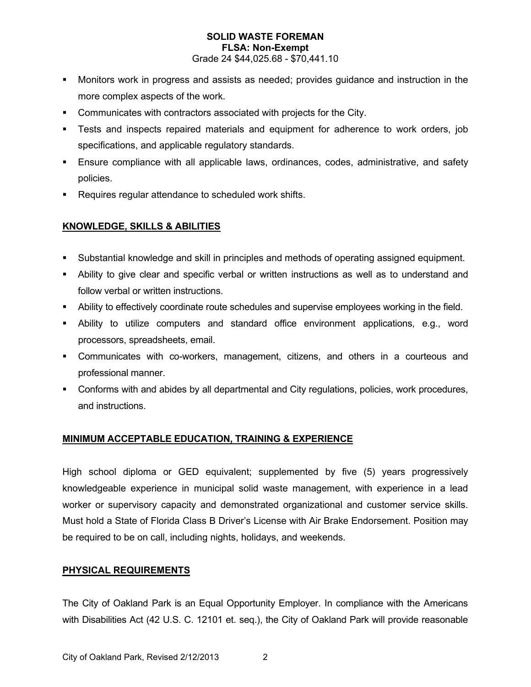### **SOLID WASTE FOREMAN FLSA: Non-Exempt** Grade 24 \$44,025.68 - \$70,441.10

- Monitors work in progress and assists as needed; provides guidance and instruction in the more complex aspects of the work.
- Communicates with contractors associated with projects for the City.
- Tests and inspects repaired materials and equipment for adherence to work orders, job specifications, and applicable regulatory standards.
- Ensure compliance with all applicable laws, ordinances, codes, administrative, and safety policies.
- **Requires regular attendance to scheduled work shifts.**

## **KNOWLEDGE, SKILLS & ABILITIES**

- Substantial knowledge and skill in principles and methods of operating assigned equipment.
- Ability to give clear and specific verbal or written instructions as well as to understand and follow verbal or written instructions.
- Ability to effectively coordinate route schedules and supervise employees working in the field.
- Ability to utilize computers and standard office environment applications, e.g., word processors, spreadsheets, email.
- Communicates with co-workers, management, citizens, and others in a courteous and professional manner.
- Conforms with and abides by all departmental and City regulations, policies, work procedures, and instructions.

# **MINIMUM ACCEPTABLE EDUCATION, TRAINING & EXPERIENCE**

High school diploma or GED equivalent; supplemented by five (5) years progressively knowledgeable experience in municipal solid waste management, with experience in a lead worker or supervisory capacity and demonstrated organizational and customer service skills. Must hold a State of Florida Class B Driver's License with Air Brake Endorsement. Position may be required to be on call, including nights, holidays, and weekends.

### **PHYSICAL REQUIREMENTS**

The City of Oakland Park is an Equal Opportunity Employer. In compliance with the Americans with Disabilities Act (42 U.S. C. 12101 et. seq.), the City of Oakland Park will provide reasonable